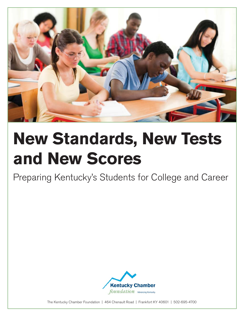

# **New Standards, New Tests and New Scores**

Preparing Kentucky's Students for College and Career



The Kentucky Chamber Foundation | 464 Chenault Road | Frankfort KY 40601 | 502-695-4700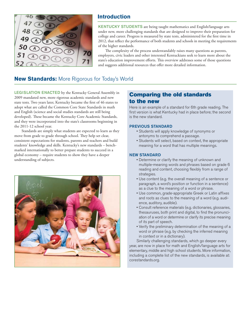

### **Introduction**

KENTUCKY STUDENTS are being taught mathematics and English/language arts under new, more challenging standards that are designed to improve their preparation for college and career. Progress is measured by state tests, administered for the first time in 2012, that reflect the performance of both students and schools in meeting the requirements of the higher standards.

The complexity of the process understandably raises many questions as parents, employers, civic leaders and other interested Kentuckians seek to learn more about the state's education improvement efforts. This overview addresses some of those questions and suggests additional resources that offer more detailed information.

# **New Standards:** More Rigorous for Today's World

LEGISLATION ENACTED by the Kentucky General Assembly in 2009 mandated new, more rigorous academic standards and new state tests. Two years later, Kentucky became the first of 46 states to adopt what are called the Common Core State Standards in math and English (science and social studies standards are still being developed). These became the Kentucky Core Academic Standards, and they were incorporated into the state's classrooms beginning in the 2011-12 school year.

Standards are simply what students are expected to learn as they move from grade to grade through school. They help set clear, consistent expectations for students, parents and teachers and build students' knowledge and skills. Kentucky's new standards – benchmarked internationally to better prepare students to succeed in a global economy – require students to show they have a deeper understanding of subjects.



### Comparing the old standards to the new

Here is an example of a standard for 6th grade reading. The first version is what Kentucky had in place before; the second is the new standard.

#### PREVIOUS STANDARD

- Students will apply knowledge of synonyms or antonyms to comprehend a passage.
- Students will select, based on context, the appropriate meaning for a word that has multiple meanings.

#### NEW STANDARD

- Determine or clarify the meaning of unknown and multiple-meaning words and phrases based on grade 6 reading and content, choosing flexibly from a range of strategies.
- Use content (e.g. the overall meaning of a sentence or paragraph, a word's position or function in a sentence) as a clue to the meaning of a word or phrase.
- Use common, grade-appropriate Greek or Latin affixes and roots as clues to the meaning of a word (e.g. audience, auditory, audible).
- Consult reference materials (e.g. dictionaries, glossaries, thesauruses, both print and digital, to find the pronunciation of a word or determine or clarify its precise meaning of its part of speech.
- Verify the preliminary determination of the meaning of a word or phrase (e.g. by checking the inferred meaning in context or in a dictionary).

Similarly challenging standards, which go deeper every year, are now in place for math and English/language arts for elementary, middle and high school students. More information, including a complete list of the new standards, is available at: corestandards.org.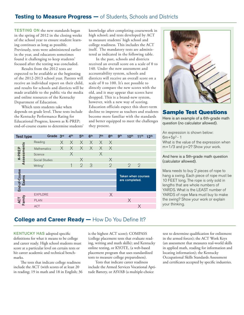#### **Testing to Measure Progress —** of Students, Schools and Districts

TESTING ON the new standards began in the spring of 2012 in the closing weeks of the school year to ensure student learning continues as long as possible. Previously, tests were administered earlier in the year, and educators sometimes found it challenging to keep students' focused after the testing was concluded.

Results from the 2012 tests are expected to be available at the beginning of the 2012-2013 school year. Parents will receive an individual report on their child, and results for schools and districts will be made available to the public via the media and online resources of the Kentucky Department of Education.

Which tests students take when depends on grade level. These tests include the Kentucky Performance Rating for Educational Progress, known as K-PREP; end-of-course exams to determine students' knowledge after completing coursework in high school; and tests developed by ACT to measure students' high school and college readiness. This includes the ACT itself. The mandatory tests are administered as indicated in the following table.

In the past, schools and districts received an overall score on a scale of 0 to 140. Under the new assessment and accountability system, schools and districts will receive an overall score on a scale of 0 to 100. It's not possible to directly compare the new scores with the old, and it may appear that scores have dropped. This is a brand-new system, however, with a new way of scoring. Education officials expect this short-term decline to improve as teachers and students become more familiar with the standards and better equipped to meet the challenges they present.



#### Sample Test Questions

Here is an example of a 6th-grade math question (no calculator allowed).

An expression is shown below:  $6m+5p^3 - 1$ What is the value of the expression when m=1/3 and p=2? Show your work.

#### And here is a 5th-grade math question (calculator allowed).

Mara needs to buy 2 pieces of rope to hang a swing. Each piece of rope must be 10 FEET long. The rope is only sold in lengths that are whole numbers of YARDS. What is the LEAST number of YARDS of rope Mara must buy to make the swing? Show your work or explain your thinking.

#### Grade 3rd 4th 5th 6th 7th 8th 9th 10th 11th 12th Test type Reading X X X X X X Assessments Assessments X X X X X X K-PREP K-PREP Mathematics X X **Science** X X Social Studies 1 2 3 Writing\* 2 2 2 End-of-Course End-of-Course Taken when courses Exams are completed. X EXPLORE ACT<br>Family X PLAN ACT X

### **College and Career Ready — How Do You Define It?**

KENTUCKY HAS adopted specific definitions for what it means to be college and career ready. High school students must score at a particular level on certain tests or hit career academic and technical benchmarks.

The tests that indicate college readiness include the ACT (with scores of at least 20 in reading; 19 in math and 18 in English; 36 is the highest ACT score); COMPASS (college placement tests that evaluate reading, writing and math skills); and Kentucky online testing, or KYOTE, (a web-based placement program that uses standardized tests to measure college preparedness).

Tests that indicate career readiness include the Armed Services Vocational Aptitude Battery, or ASVAB (a multiple-choice

test to determine qualification for enlistment in the armed forces); the ACT Work Keys (an assessment that measures real-world skills in applied math, reading for information and locating information); the Kentucky Occupational Skills Standards Assessment and certificates accepted by specific industries.